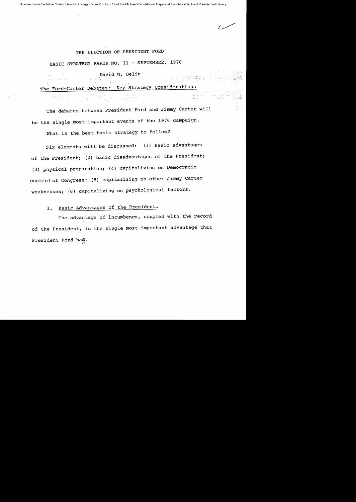Scanned from the folder "Belin, David - Strategy Papers" in Box 12 of the Michael Raoul-Duval Papers at the Gerald R. Ford Presidential Library

## THE ELECTION OF PRESIDENT FORD

BASIC STRATEGY PAPER NO. 11 - SEPTEMBER, 1976

David W. Belin

The Ford-Carter Debates: Key Strategy Considerations

The debates between President Ford and Jimmy Carter will be the single most important events of the 1976 campaign.

What is the best basic strategy to follow?

Six elements will be discussed: (1) Basic advantages of the President; (2) basic disadvantages of the President; (3) physical preparation; (4) capitalizing on Democratic control of Congress; (S) capitalizing on other Jimmy Carter weaknesses; (6) capitalizing on psychological factors.

## 1. Basic Advantages of the President.

The advantage of incumbency, coupled with the record of the President, is the single most important advantage that President Ford hag.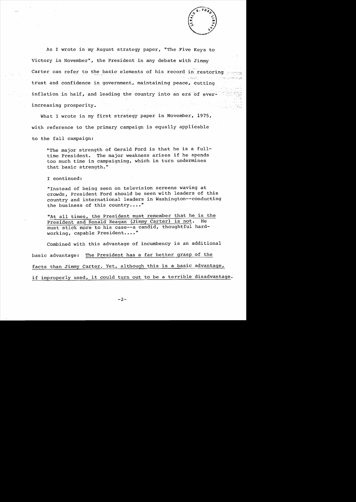

As I wrote in my August strategy paper, "The Five Keys to Victory in November", the President in any debate with Jimmy Carter can refer to the basic elements of his record in restoring trust and confidence in government, maintaining peace, cutting inflation in half, and leading the country into an era of everincreasing prosperity.

What I wrote in my first strategy paper in November, 1975, with reference to the primary campaign is equally applicable to the fall campaign:

"The major strength of Gerald Ford is that he is a fulltime President. The major weakness arises if he spends too much time in campaigning, which in turn undermines that basic strength."

I continued:

"Instead of being seen on television screens waving at crowds, President Ford should be seen with leaders of this country and international leaders in Washington--conducting the business of this country...."

"At all times, the President must remember that he is the President and Ronald Reagan (Jimmy Carter) is not. He must stick more to his case--a candid, thoughtful hardworking, capable President...."

Combined with this advantage of incumbency is an additional basic advantage: The President has a far better grasp of the facts than Jimmy Carter. Yet, although this is a basic advantage, if improperly used, it could turn out to be a terrible disadvantage.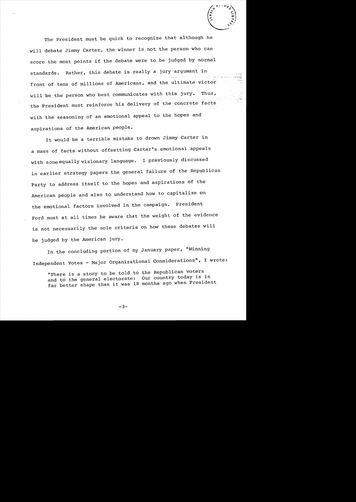-.; ...

The President must be quick to recognize that although he will debate Jimmy Carter, the winner is not the person who can score the most points if the debate were to be judged by normal standards. Rather, this debate is really a jury argumant in front of tens of millions of Americans, and the ultimate victor will be the person who best communicates with this jury. Thus, the President must reinforce his delivery of the concrete facts with the seasoning of an emotional appeal to the hopes and aspirations of the American people.

It would be a terrible mistake to drown Jimmy Carter in a mass of facts without offsetting Carter's emotional appeals with some equally visionary language. I previously discussed in earlier strategy papers the general failure of the Republican Party to address itself to the hopes and aspirations of the American people and also-to understand how to capitalize on the emotional factors involved in the campaign. President Ford must at all times be aware that the weight of the evidence is not necessarily the sole criteria on how these debates will be judged by the American jury.

In the concluding portion of my January paper, "Winning Independent Votes - Major Organizational Considerations", I wrote:

"There is a story to be told to the Republican voters Our country today is in and to the general electorate: and to the general electorate: Our councry coun, is in

 $-3-$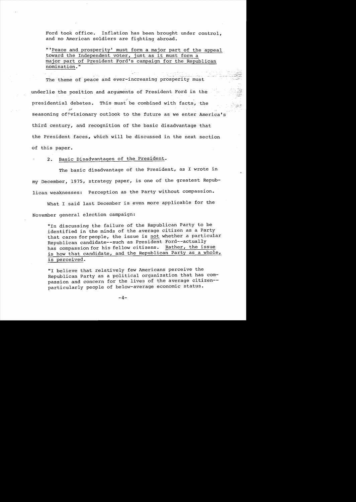Ford took office. Inflation has been brought under control, and no American soldiers are fighting abroad.

"'Peace and prosperity' must form a major part of the appeal toward the Independent voter, just as it must form a major part of President Ford's campaign for the Republican nomination."

The theme of peace and ever-increasing prosperity must underlie the position and arguments of President Ford in the presidential debates. This must be combined with facts, the seasoning of  $\gamma$ visionary outlook to the future as we enter America's third century, and recognition of the basic disadvantage that the President faces, which will be discussed in the next section of this paper.

2. Basic Disadvantages of the President.

The basic disadvantage of the President, as I wrote in my December, 1975, strategy paper, is one of the greatest Republican weaknesses: Perception as the Party without compassion.

What I said last December is even more applicable for the November general election campaign:

"In discussing the failure of the Republican Party to be identified in the minds of the average citizen as a Party that cares for people, the issue is not whether a particular Republican candidate--such as President Ford--actually<br>has compassion for his fellow citizens. Rather, the issue has compassion for his fellow citizens. is how that candidate, and the Republican Party as a whole, is perceived.

"I believe that relatively few Americans perceive the Republican Party as a political organization that has compassion and concern for the lives of the average citizen particularly people of below-average economic status.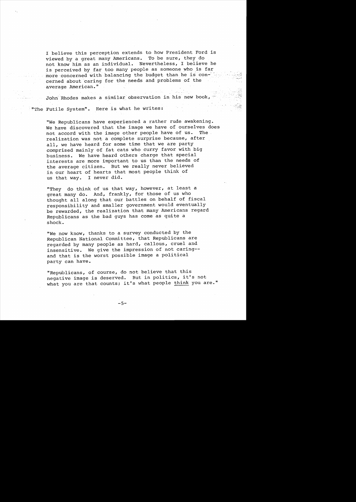I believe this perception extends to how President Ford is<br>viewed by a great many Americans. To be sure, they do viewed by a great many Americans. not know him as an individual. Nevertheless, I believe he is perceived by far too many people as someone who is far more concerned with balancing the budget than he is  $con$ cerned about caring for the needs and problems of the average American."

John Rhodes makes a similar observation in his new book, . "The Futile System". Here is what he writes:

"We Republicans have experienced a rather rude awakening. We have discovered that the image we have of ourselves does<br>not accord with the image other people have of us. The not accord with the image other people have of us. realization was not a complete surprise because, after all, we have heard for some time that we are party comprised mainly of fat cats who curry favor with big business. We have heard others charge that special interests are more important to us than the needs of the average citizen. But we really never believed in our heart of hearts that most people think of us that way. I never did.

"They do think of us that way, however, at least a great many do. And, frankly, for those of us who thought all along that our battles on behalf of fiscal responsibility and smaller government would eventually be rewarded, the realization that many Americans regard Republicans as the bad guys has come as quite a shock.

"We now know, thanks to a survey conducted by the Republican National Committee, that Republicans are regarded by many people as hard, callous, cruel and insensitive. We give the impression of not caring-and that is the worst possible image a political party can have.

"Republicans, of course, do not believe that this negative image is deserved. But in politics, it's not what you are that counts; it's what people think you are."

 $-5-$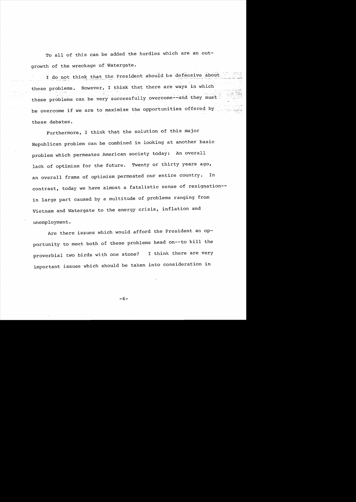To all of this can be added the hurdles which are an outgrowth of the wreckage of Watergate.

I do not think that the President should be defensive about these problems. However, I think that there are ways in which these problems can be very successfully overcome--and they must be overcome if we are to maximize the opportunities offered by these debates.

Furthermore, I think that the solution of this major Republican problem can be combined in looking at another basic problem which permeates American society today: An overall lack of optimism for the future. Twenty or thirty years ago, an overall frame of optimism permeated our entire country. In contrast, today we have almost a fatalistic sense of resignation in large part caused by a multitude of problems ranging from Vietnam and Watergate to the energy crisis, inflation and unemployment.

Are there issues which would afford the President an opportunity to meet both of these problems head on--to kill the proverbial two birds with one stone? I think there are very important issues which should be taken into consideration in

 $-6-$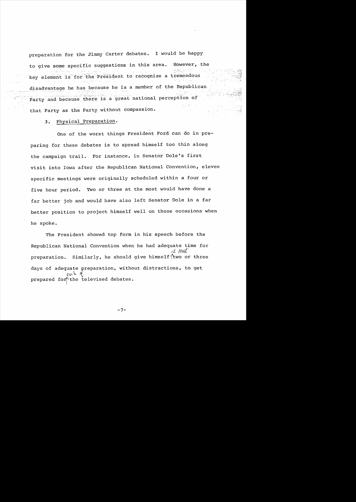preparation for the Jimmy Carter debates. I would be happy to give some specific suggestions in this area. However, the key element is for the President to recognize a tremendous disadvantage he has because he is a member of the Republican Party and because there is a great national perception of that Party as the Party without compassion.

## **3.** Physical preparation.

One of the worst things President Ford can do in pre paring for these debates is to spread himself too thin along the campaign trail. For instance, in Senator Dole's first visit into Iowa after the Republican National Convention, eleven specific meetings were originally scheduled within a four or five hour period. Two or three at the most would have done a far better job and would have also left Senator Dole in a far better position to project himself well on those occasions when he spoke.

The President showed top form in his speech before the Republican National Convention when he had adequate time for ct /fall preparation. Similarly, he should give himself $\textit{1}$ two or three days of adequate preparation, without distractions, to get pach of prepared for the televised debates. l

**-7**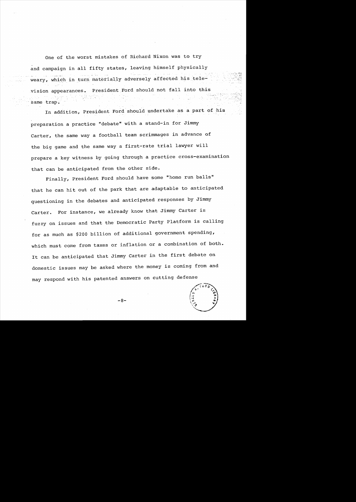One of the worst mistakes of Richard Nixon was to try and campaign in all fifty states, leaving himself physically weary, which in turn materially adversely affected his television appearances. President Ford should not fall into this same trap.

In addition, President Ford should undertake as a part of his preparation a practice "debate" with a stand-in for Jimmy Carter, the same way a football team scrimmages in advance of the big game and the same way a first-rate trial lawyer will prepare a key witness by going through a practice cross-examination that can be anticipated from the other side.

Finally, President Ford should have some "home run balls" that he can hit out of the park that are adaptable to anticipated questioning in the debates and anticipated responses by Jimmy Carter. For instance, we already know that Jimmy Carter is fuzzy on issues and that the Democratic Party Platform is calling for as much as \$200 billion of additional government spending, which must come from taxes or inflation or a combination of both. It can be anticipated that Jimmy Carter in the first debate on domestic issues may be asked where the money is coming from and may respond with his patented answers on cutting defense



 $-8-$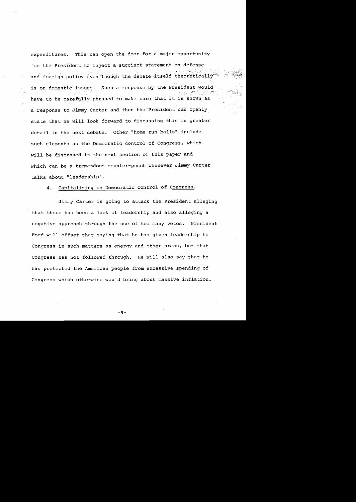expenditures. This can open the door for a major opportunity for the President to inject a succinct statement on defense and foreign policy even though the debate itself theoretically is on domestic issues. Such a response by the President would have to be carefully phrased to make sure that it is shown as a response to Jimmy Carter and then the President can openly state that he will look forward to discussing this in greater detail in the next debate. Other "home run balls" include such elements as the Democratic control of Congress, which will be discussed in the next section of this paper and which can be a tremendous counter-punch whenever Jimmy Carter talks about "leadership".

4. Capitalizing on Democratic Control of Congress.

Jimmy Carter is going to attack the President alleging that there has been a lack of leadership and also alleging a negative approach through the use of too many vetos. President Ford will offset that saying that he has given leadership to Congress in such matters as energy and other areas, but that Congress has not followed through. He will also say that he has protected the American people from excessive spending of Congress which otherwise would bring about massive inflation.

–ុុ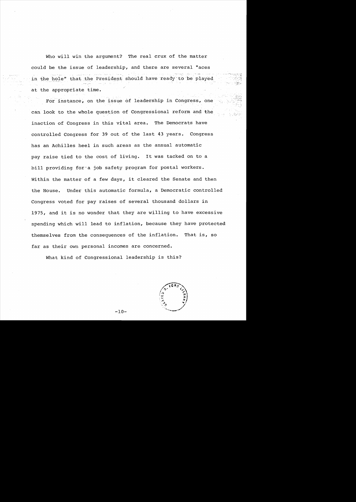Who will win the argument? The real crux of the matter could be the issue of leadership, and there are several "aces in the hole" that the President should have ready to be played at the appropriate time.

For instance, on the issue of leadership in Congress, one can look to the whole question of Congressional reform and the inaction of Congress in this vital area. The Democrats have controlled Congress for 39 out of the last 43 years. Congress has an Achilles heel in such areas as the annual automatic pay raise tied to the cost of living. It was tacked on to a bill providing for a job safety program for postal workers. Within the matter of a few days, it cleared the Senate and then the House. Under this automatic formula, a Democratic controlled Congress voted for pay raises of several thousand dollars in 1975, and it is no wonder that they are willing to have excessive spending which will lead to inflation, because they have protected themselves from the consequences of the inflation. That is, so far as their own personal incomes are concerned.

What kind of Congressional leadership is this?

 $-10-$ 

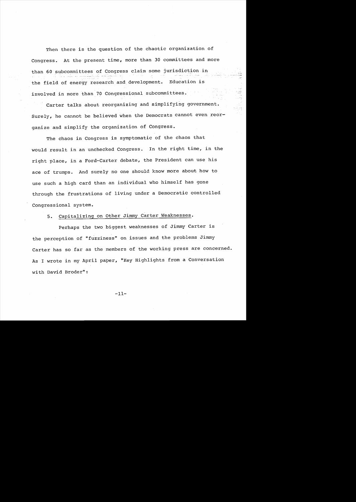Then there is the question of the chaotic organization of Congress. At the present time, more than 30 committees and more than 60 subcommittees of Congress claim some jurisdiction in the field of energy research and development. Education is involved in more than 70 Congressional subcommittees.

Carter talks about reorganizing and simplifying government. Surely, he cannot be believed when the Democrats cannot even reorganize and simplify the organization of Congress.

The chaos in Congress is symptomatic of the chaos that would result in an unchecked Congress. In the right time, in the right place, in a Ford-Carter debate, the President can use his ace of trumps. And surely no one should know more about how to use such a high card than an individual who himself has gone through the frustrations of living under a Democratic controlled Congressional system.

**5.** Capitalizing on Other Jimmy Carter Weaknesses.

Perhaps the two biggest weaknesses of Jimmy Carter is the perception of "fuzziness" on issues and the problems Jimmy Carter has so far as the members of the working press are concerned. As I wrote in my April paper, "Key Highlights from a Conversation with David Broder":

 $-11-$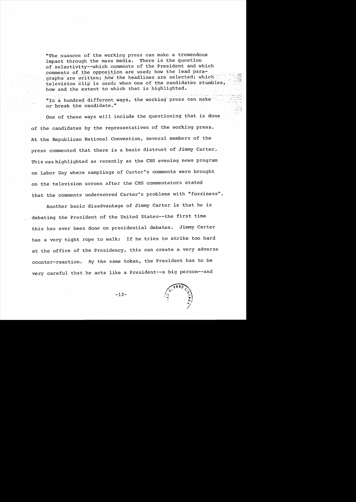"The nuances of the working press can make a tremendous impact through the mass media. There is the question of selectivity--which comments of the President and which comments of the opposition are used; how the lead paragraphs are written; how the headlines are selected; which television clip is used; when one of the candidates stumbles, how and the extent to which that is highlighted.

"In a hundred different ways, the working press can make or break the candidate."

One of these ways will inciude the questioning that is done of the candidates by the representatives of the working press. At the Republican National Convention, several members of the press commented that there is a basic distrust of Jimmy Carter. This was highlighted as recently as the CBS evening news program on Labor Day where samplings of Carter's comments were brought on the television screen after the CBS commentators stated that the comments underscored Carter's problems with "fuzziness".

Another basic disadvantage of Jimmy Carter is that he is debating the President of the United States--the first time this has ever been done on presidential debates. Jimmy Carter has a very tight rope to walk: If he tries to strike too hard at the office of the Presidency, this can create a very adverse counter-reaction. By the same token, the President has to be very careful that he acts like a President--a big person--and



يوجد الأراخ

·.0::\_"" .~ ~

 $-12-$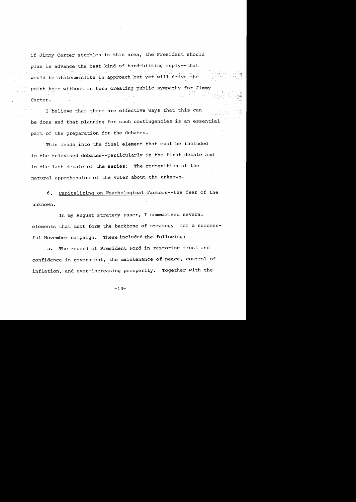if Jimmy Carter stumbles in this area, the President should plan in advance the best kind of hard-hitting reply--that would be statesmanlike in approach but yet will drive the point home without in turn creating public sympathy for Jimmy Carter.

I believe that there are effective ways that this can be done and that planning for such contingencies is an essential part of the preparation for the debates.

This leads into the final element that must be included in the televised debates--particularly in the first debate and in the last debate of the series: The recognition of the natural apprehension of the voter about the unknown.

6. Capitalizing on Psychological Factors--the fear of the unknown.

In my August strategy paper, I summarized several elements that must form the backbone of strategy for a successful November campaign. These included the following:

a. The record of President Ford in restoring trust and confidence in government, the maintenance of peace, control of inflation, and ever-increasing prosperity. Together with the

 $-13-$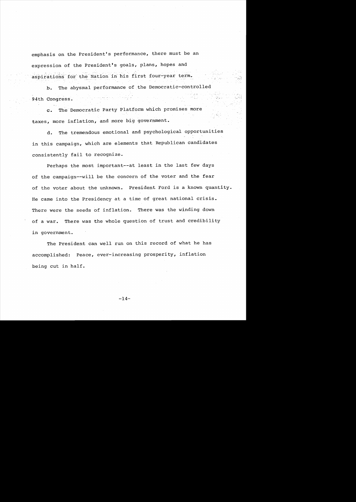emphasis on the President's performance, there must be an expression of the President's goals, plans, hopes and aspirations for the Nation in his first four-year term.

b. The abysmal performance of the Democratic-controlled 94th Congress.

c. The Democratic Party Platform which promises more taxes, more inflation, and more big government.

d. The tremendous emotional and psychological opportunities in this campaign, which are elements that Republican candidates consistently fail to recognize.

Perhaps the most important--at least in the last few days of the campaign--will be the concern of the voter and the fear of the voter about the unknown. President Ford is a known quantity. He came into the Presidency at a time of great national crisis. There were the seeds of inflation. There was the winding down of a war. There was the whole question of trust and credibility in government.

The President can well run on this record of what he has accomplished: Peace, ever-increasing prosperity, inflation being cut in half.

 $-14-$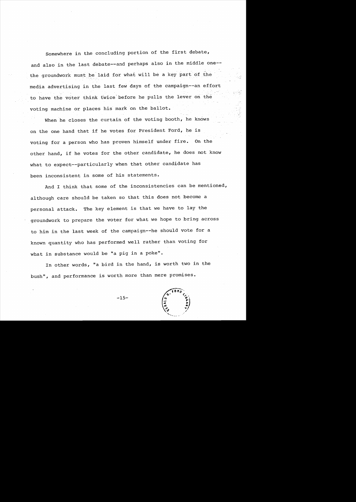Somewhere in the concluding portion of the first debate, and also in the last debate--and perhaps also in the middle one-the groundwork must be laid for what will be a key part of the media advertising in the last few days of the campaign--an effort to have the voter think twice-before he pulls the lever on the voting machine or places his mark on the ballot.

When he closes the curtain of the voting booth, he knows on the one hand that if he votes for President Ford, he is voting for a person who has proven himself under fire. On the other hand, if he votes for the other candidate, he does not know what to expect--particularly when that other candidate has been inconsistent in some of his statements.

And I think that some of the inconsistencies can be mentioned, although care should be taken so that this does not become a personal attack. The key element is that we have to lay the groundwork to prepare the voter for what we hope to bring across to him in the last week of the campaign--he should vote for a known quantity who has performed well rather than voting for what in substance would be "a pig in a poke".

In other words, "a bird in the hand, is worth two in the bush", and performance is worth more than mere promises.

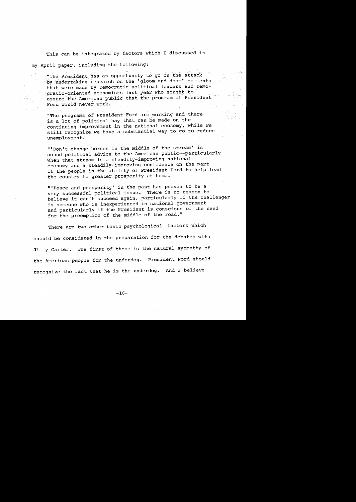This can be integrated by factors which I discussed in my April paper, including the following:

"The President has an opportunity to go on the attack by undertaking research on the 'gloom and doom' comments that were made by Democratic political leaders and Demo cratic-oriented economists last year who sought to assure the American public that the program of President Ford would never work.

"The programs of President Ford are working and there is a lot of political hay that can be made on the continuing improvement in the national economy, while we still recognize we have a substantial way to go to reduce unemployment.

"'Don't change horses in the middle of the stream' is sound political advice to the American public--particularly when that stream is a steadily-improving national economy and a steadily-improving confidence on the part of the people in the ability of President Ford to help lead the country to greater prosperity at home.

"'Peace and prosperity' in the past has proven to be a very successful political issue. There is no reason to believe it can't succeed again, particularly if the challenger is someone who is inexperienced in national government and particularly if the President is conscious of the need for the preemption of the middle of the road."

There are two other basic psychological factors which should be considered in the preparation for the debates with Jimmy Carter. The first of these is the natural sympathy of the American people for the underdog. President Ford should recognize the fact that he is the underdog. And I believe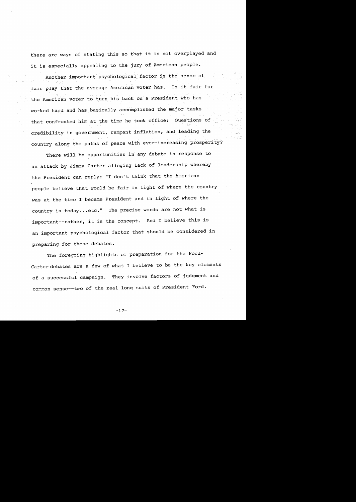there are ways of stating this so that it is not overplayed and it is especially appealing to the jury of American people.

Another important psychological factor is the sense of fair play that the average American voter has. Is it fair for the American voter to turn his back on a President who has worked hard and has basically accomplished the major tasks that confronted him at the time he took office: Questions of credibility in government, rampant inflation, and leading the country along the paths of peace with ever-increasing prosperity?

There will be opportunities in any debate in response to an attack by Jimmy Carter alleging lack of leadership whereby the President can reply: "I don't think that the American people believe that would be fair in light of where the country was at the time I became President and in light of where the country is today...etc." The precise words are not what is important--rather, it is the concept. And I believe this is an important psychological factor that should be considered in preparing for these debates.

The foregoing highlights of preparation for the Ford-Carter debates are a few of what I believe to be the key elements of a successful campaign. They involve factors of judgment and common sense--two of the real long suits of President Ford.

 $-17-$